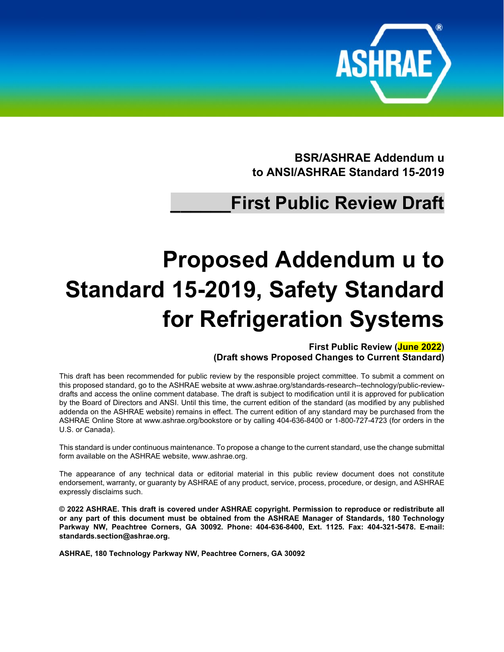

**BSR/ASHRAE Addendum u to ANSI/ASHRAE Standard 15-2019**

# **\_\_\_\_\_\_First Public Review Draft**

# **Proposed Addendum u to Standard 15-2019, Safety Standard for Refrigeration Systems**

**First Public Review (June 2022) (Draft shows Proposed Changes to Current Standard)**

This draft has been recommended for public review by the responsible project committee. To submit a comment on this proposed standard, go to the ASHRAE website a[t www.ashrae.org/standards-research--technology/public-review](http://www.ashrae.org/standards-research--technology/public-review-drafts)[drafts](http://www.ashrae.org/standards-research--technology/public-review-drafts) and access the online comment database. The draft is subject to modification until it is approved for publication by the Board of Directors and ANSI. Until this time, the current edition of the standard (as modified by any published addenda on the ASHRAE website) remains in effect. The current edition of any standard may be purchased from the ASHRAE Online Store at [www.ashrae.org/bookstore](http://www.ashrae.org/bookstore) or by calling 404-636-8400 or 1-800-727-4723 (for orders in the U.S. or Canada).

This standard is under continuous maintenance. To propose a change to the current standard, use the change submittal form available on the ASHRAE website, [www.ashrae.org.](http://www.ashrae.org/)

The appearance of any technical data or editorial material in this public review document does not constitute endorsement, warranty, or guaranty by ASHRAE of any product, service, process, procedure, or design, and ASHRAE expressly disclaims such.

**© 2022 ASHRAE. This draft is covered under ASHRAE copyright. Permission to reproduce or redistribute all or any part of this document must be obtained from the ASHRAE Manager of Standards, 180 Technology Parkway NW, Peachtree Corners, GA 30092. Phone: 404-636-8400, Ext. 1125. Fax: 404-321-5478. E-mail: [standards.section@ashrae.org.](mailto:standards.section@ashrae.org)**

**ASHRAE, 180 Technology Parkway NW, Peachtree Corners, GA 30092**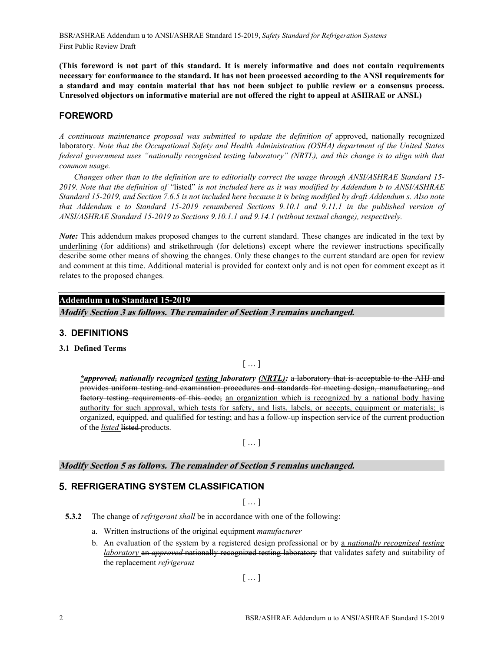BSR/ASHRAE Addendum u to ANSI/ASHRAE Standard 15-2019, *Safety Standard for Refrigeration Systems* First Public Review Draft

**(This foreword is not part of this standard. It is merely informative and does not contain requirements necessary for conformance to the standard. It has not been processed according to the ANSI requirements for a standard and may contain material that has not been subject to public review or a consensus process. Unresolved objectors on informative material are not offered the right to appeal at ASHRAE or ANSI.)**

### **FOREWORD**

A continuous maintenance proposal was submitted to update the definition of approved, nationally recognized laboratory. *Note that the Occupational Safety and Health Administration (OSHA) department of the United States federal government uses "nationally recognized testing laboratory" (NRTL), and this change is to align with that common usage.*

*Changes other than to the definition are to editorially correct the usage through ANSI/ASHRAE Standard 15- 2019. Note that the definition of "*listed" *is not included here as it was modified by Addendum b to ANSI/ASHRAE Standard 15-2019, and Section 7.6.5 is not included here because it is being modified by draft Addendum s. Also note that Addendum e to Standard 15-2019 renumbered Sections 9.10.1 and 9.11.1 in the published version of ANSI/ASHRAE Standard 15-2019 to Sections 9.10.1.1 and 9.14.1 (without textual change), respectively.*

*Note:* This addendum makes proposed changes to the current standard. These changes are indicated in the text by underlining (for additions) and strikethrough (for deletions) except where the reviewer instructions specifically describe some other means of showing the changes. Only these changes to the current standard are open for review and comment at this time. Additional material is provided for context only and is not open for comment except as it relates to the proposed changes.

# **Addendum u to Standard 15-2019**

**Modify Section 3 as follows. The remainder of Section 3 remains unchanged.**

#### **3. DEFINITIONS**

**3.1 Defined Terms**

 $[$   $\ldots$   $]$ 

*\*approved, nationally recognized testing laboratory (NRTL):* a laboratory that is acceptable to the AHJ and provides uniform testing and examination procedures and standards for meeting design, manufacturing, and factory testing requirements of this code; an organization which is recognized by a national body having authority for such approval, which tests for safety, and lists, labels, or accepts, equipment or materials; is organized, equipped, and qualified for testing; and has a follow-up inspection service of the current production of the *listed* listed products.

 $[...]$ 

#### **Modify Section 5 as follows. The remainder of Section 5 remains unchanged.**

# **5. REFRIGERATING SYSTEM CLASSIFICATION**

 $[$   $\ldots$   $]$ 

- **5.3.2** The change of *refrigerant shall* be in accordance with one of the following:
	- a. Written instructions of the original equipment *manufacturer*
	- b. An evaluation of the system by a registered design professional or by a *nationally recognized testing laboratory* an *approved* nationally recognized testing laboratory that validates safety and suitability of the replacement *refrigerant*

 $[\dots]$